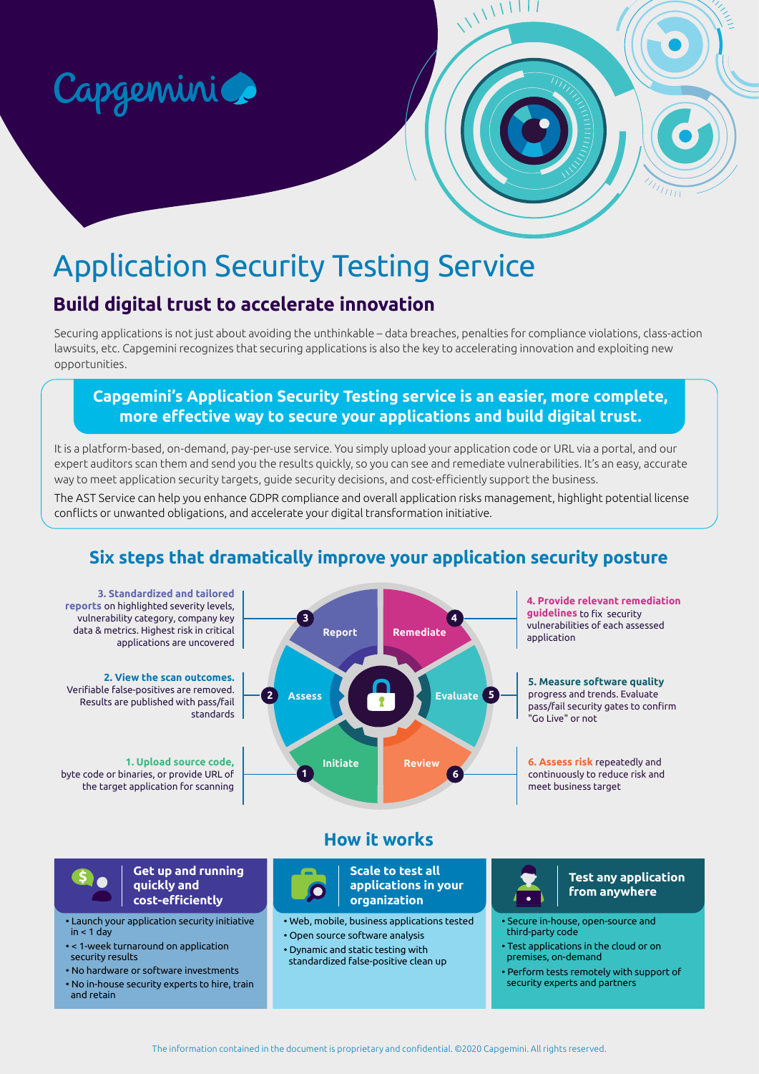

# Application Security Testing Service

# **Build digital trust to accelerate innovation**

Securing applications is not just about avoiding the unthinkable – data breaches, penalties for compliance violations, class-action lawsuits, etc. Capgemini recognizes that securing applications is also the key to accelerating innovation and exploiting new opportunities.

WWW

### **Capgemini's Application Security Testing service is an easier, more complete, more effective way to secure your applications and build digital trust.**

It is a platform-based, on-demand, pay-per-use service. You simply upload your application code or URL via a portal, and our expert auditors scan them and send you the results quickly, so you can see and remediate vulnerabilities. It's an easy, accurate way to meet application security targets, guide security decisions, and cost-efficiently support the business.

The AST Service can help you enhance GDPR compliance and overall application risks management, highlight potential license conflicts or unwanted obligations, and accelerate your digital transformation initiative.

# **Six steps that dramatically improve your application security posture**





**Get up and running quickly and cost-efficiently**

• Launch your application security initiative  $in < 1$  day

• < 1-week turnaround on application security results

- No hardware or software investments
- No in-house security experts to hire, train and retain



**Scale to test all applications in your organization**

• Web, mobile, business applications tested

• Open source software analysis

• Dynamic and static testing with standardized false-positive clean up

### **Test any application from anywhere**

- Secure in-house, open-source and third-party code
- Test applications in the cloud or on premises, on-demand
- Perform tests remotely with support of security experts and partners